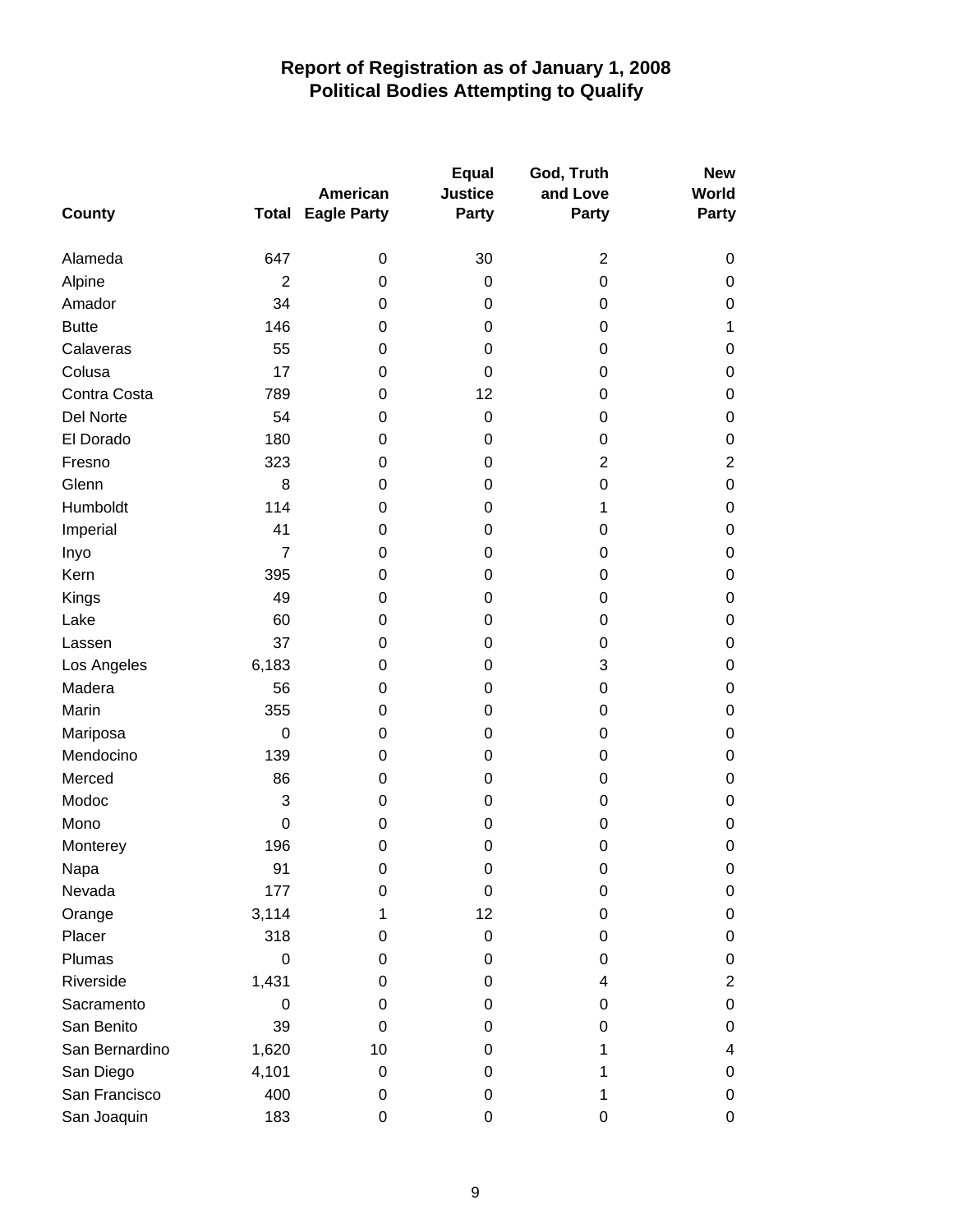| <b>County</b>  |                  | American<br><b>Total Eagle Party</b> | <b>Equal</b><br><b>Justice</b><br>Party | God, Truth<br>and Love<br>Party | <b>New</b><br>World<br>Party |
|----------------|------------------|--------------------------------------|-----------------------------------------|---------------------------------|------------------------------|
|                |                  |                                      |                                         |                                 |                              |
| Alameda        | 647              | 0                                    | 30                                      | $\overline{2}$                  | 0                            |
| Alpine         | $\overline{2}$   | 0                                    | $\boldsymbol{0}$                        | 0                               | $\pmb{0}$                    |
| Amador         | 34               | 0                                    | 0                                       | 0                               | 0                            |
| <b>Butte</b>   | 146              | 0                                    | 0                                       | 0                               | $\mathbf 1$                  |
| Calaveras      | 55               | 0                                    | 0                                       | 0                               | 0                            |
| Colusa         | 17               | 0                                    | 0                                       | 0                               | 0                            |
| Contra Costa   | 789              | 0                                    | 12                                      | 0                               | 0                            |
| Del Norte      | 54               | 0                                    | $\boldsymbol{0}$                        | 0                               | 0                            |
| El Dorado      | 180              | 0                                    | 0                                       | 0                               | $\boldsymbol{0}$             |
| Fresno         | 323              | 0                                    | 0                                       | $\overline{2}$                  | $\overline{2}$               |
| Glenn          | 8                | 0                                    | 0                                       | 0                               | $\boldsymbol{0}$             |
| Humboldt       | 114              | 0                                    | 0                                       | 1                               | 0                            |
| Imperial       | 41               | 0                                    | 0                                       | 0                               | 0                            |
| Inyo           | $\overline{7}$   | 0                                    | 0                                       | 0                               | $\boldsymbol{0}$             |
| Kern           | 395              | 0                                    | 0                                       | 0                               | 0                            |
| Kings          | 49               | 0                                    | 0                                       | 0                               | 0                            |
| Lake           | 60               | 0                                    | 0                                       | 0                               | 0                            |
| Lassen         | 37               | 0                                    | 0                                       | 0                               | 0                            |
| Los Angeles    | 6,183            | 0                                    | 0                                       | 3                               | $\pmb{0}$                    |
| Madera         | 56               | 0                                    | 0                                       | 0                               | 0                            |
| Marin          | 355              | 0                                    | 0                                       | 0                               | 0                            |
| Mariposa       | $\mathbf 0$      | 0                                    | 0                                       | 0                               | 0                            |
| Mendocino      | 139              | 0                                    | 0                                       | 0                               | $\pmb{0}$                    |
| Merced         | 86               | 0                                    | 0                                       | 0                               | $\pmb{0}$                    |
| Modoc          | 3                | 0                                    | 0                                       | 0                               | 0                            |
| Mono           | $\pmb{0}$        | 0                                    | 0                                       | 0                               | 0                            |
| Monterey       | 196              | 0                                    | 0                                       | 0                               | $\boldsymbol{0}$             |
| Napa           | 91               | 0                                    | 0                                       | 0                               | 0                            |
| Nevada         | 177              | 0                                    | 0                                       | 0                               | 0                            |
| Orange         | 3,114            | 1                                    | 12                                      | 0                               | $\pmb{0}$                    |
| Placer         | 318              | 0                                    | 0                                       | 0                               | $\boldsymbol{0}$             |
| Plumas         | $\boldsymbol{0}$ | 0                                    | 0                                       | 0                               | 0                            |
| Riverside      | 1,431            | 0                                    | 0                                       | 4                               | $\overline{2}$               |
| Sacramento     | $\Omega$         | 0                                    | 0                                       | 0                               | 0                            |
| San Benito     | 39               | $\Omega$                             | 0                                       | 0                               | 0                            |
| San Bernardino | 1,620            | 10                                   | 0                                       | 1                               | 4                            |
| San Diego      | 4,101            | 0                                    | 0                                       | 1                               | 0                            |
| San Francisco  | 400              | 0                                    | 0                                       | 1                               | 0                            |
| San Joaquin    | 183              | 0                                    | 0                                       | 0                               | 0                            |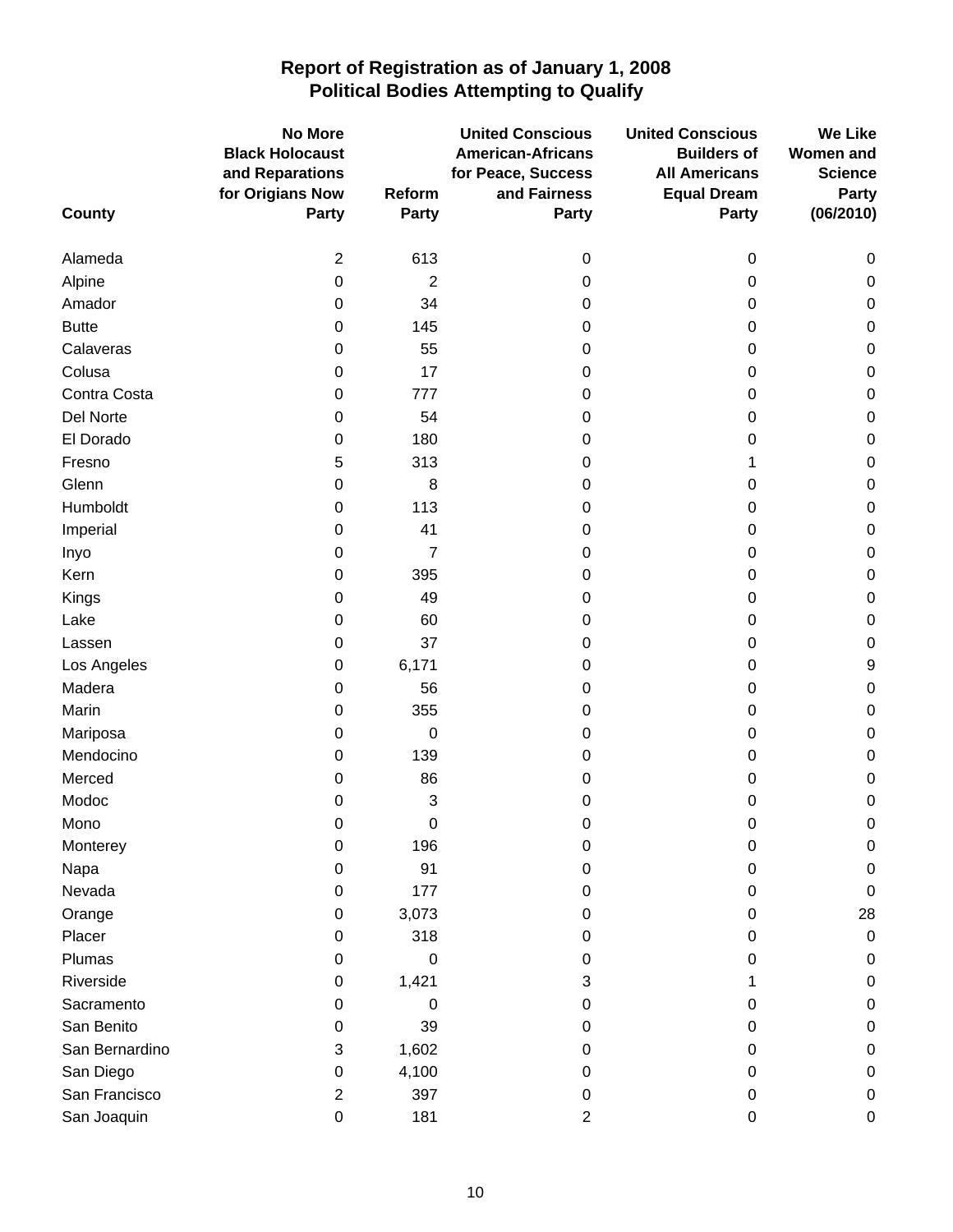|                | <b>No More</b>                      |                  | <b>United Conscious</b>            | <b>United Conscious</b>                    | <b>We Like</b>                 |
|----------------|-------------------------------------|------------------|------------------------------------|--------------------------------------------|--------------------------------|
|                | <b>Black Holocaust</b>              |                  | <b>American-Africans</b>           | <b>Builders of</b>                         | <b>Women and</b>               |
|                | and Reparations<br>for Origians Now | Reform           | for Peace, Success<br>and Fairness | <b>All Americans</b><br><b>Equal Dream</b> | <b>Science</b><br><b>Party</b> |
| <b>County</b>  | <b>Party</b>                        | <b>Party</b>     | Party                              | Party                                      | (06/2010)                      |
|                |                                     |                  |                                    |                                            |                                |
| Alameda        | $\overline{2}$                      | 613              | 0                                  | 0                                          | 0                              |
| Alpine         | 0                                   | $\overline{2}$   | 0                                  | 0                                          | 0                              |
| Amador         | 0                                   | 34               | 0                                  | 0                                          | $\pmb{0}$                      |
| <b>Butte</b>   | 0                                   | 145              | 0                                  | 0                                          | $\pmb{0}$                      |
| Calaveras      | 0                                   | 55               | 0                                  | 0                                          | $\pmb{0}$                      |
| Colusa         | 0                                   | 17               | 0                                  | 0                                          | $\boldsymbol{0}$               |
| Contra Costa   | 0                                   | 777              | 0                                  | 0                                          | $\pmb{0}$                      |
| Del Norte      | 0                                   | 54               | 0                                  | 0                                          | $\pmb{0}$                      |
| El Dorado      | 0                                   | 180              | 0                                  | 0                                          | $\boldsymbol{0}$               |
| Fresno         | 5                                   | 313              | 0                                  | 1                                          | $\pmb{0}$                      |
| Glenn          | 0                                   | 8                | 0                                  | 0                                          | $\pmb{0}$                      |
| Humboldt       | 0                                   | 113              | 0                                  | 0                                          | $\boldsymbol{0}$               |
| Imperial       | 0                                   | 41               | 0                                  | 0                                          | $\pmb{0}$                      |
| Inyo           | 0                                   | $\overline{7}$   | 0                                  | 0                                          | $\boldsymbol{0}$               |
| Kern           | 0                                   | 395              | 0                                  | 0                                          | $\boldsymbol{0}$               |
| Kings          | 0                                   | 49               | 0                                  | 0                                          | $\pmb{0}$                      |
| Lake           | 0                                   | 60               | 0                                  | 0                                          | $\boldsymbol{0}$               |
| Lassen         | 0                                   | 37               | 0                                  | 0                                          | $\boldsymbol{0}$               |
| Los Angeles    | $\pmb{0}$                           | 6,171            | 0                                  | 0                                          | $\boldsymbol{9}$               |
| Madera         | 0                                   | 56               | 0                                  | 0                                          | $\pmb{0}$                      |
| Marin          | 0                                   | 355              | 0                                  | 0                                          | $\boldsymbol{0}$               |
| Mariposa       | 0                                   | $\boldsymbol{0}$ | 0                                  | 0                                          | $\pmb{0}$                      |
| Mendocino      | 0                                   | 139              | 0                                  | 0                                          | 0                              |
| Merced         | 0                                   | 86               | 0                                  | 0                                          | $\boldsymbol{0}$               |
| Modoc          | 0                                   | 3                | 0                                  | 0                                          | $\boldsymbol{0}$               |
| Mono           | 0                                   | 0                | 0                                  | 0                                          | 0                              |
| Monterey       | 0                                   | 196              | 0                                  | 0                                          | $\mathbf 0$                    |
| Napa           | 0                                   | 91               | 0                                  | 0                                          | $\pmb{0}$                      |
| Nevada         | 0                                   | 177              | 0                                  | 0                                          | 0                              |
| Orange         | 0                                   | 3,073            | 0                                  | 0                                          | 28                             |
| Placer         | 0                                   | 318              | 0                                  | 0                                          | $\pmb{0}$                      |
| Plumas         | 0                                   | 0                | 0                                  | 0                                          | $\pmb{0}$                      |
| Riverside      | 0                                   | 1,421            | 3                                  | 1                                          | 0                              |
| Sacramento     | 0                                   | 0                | 0                                  | 0                                          | $\pmb{0}$                      |
| San Benito     | 0                                   | 39               | 0                                  | 0                                          | $\pmb{0}$                      |
| San Bernardino | 3                                   | 1,602            | 0                                  | 0                                          | $\mathbf 0$                    |
| San Diego      | 0                                   | 4,100            | 0                                  | 0                                          | $\boldsymbol{0}$               |
| San Francisco  | 2                                   | 397              | 0                                  | 0                                          | 0                              |
| San Joaquin    | 0                                   | 181              | 2                                  | 0                                          | 0                              |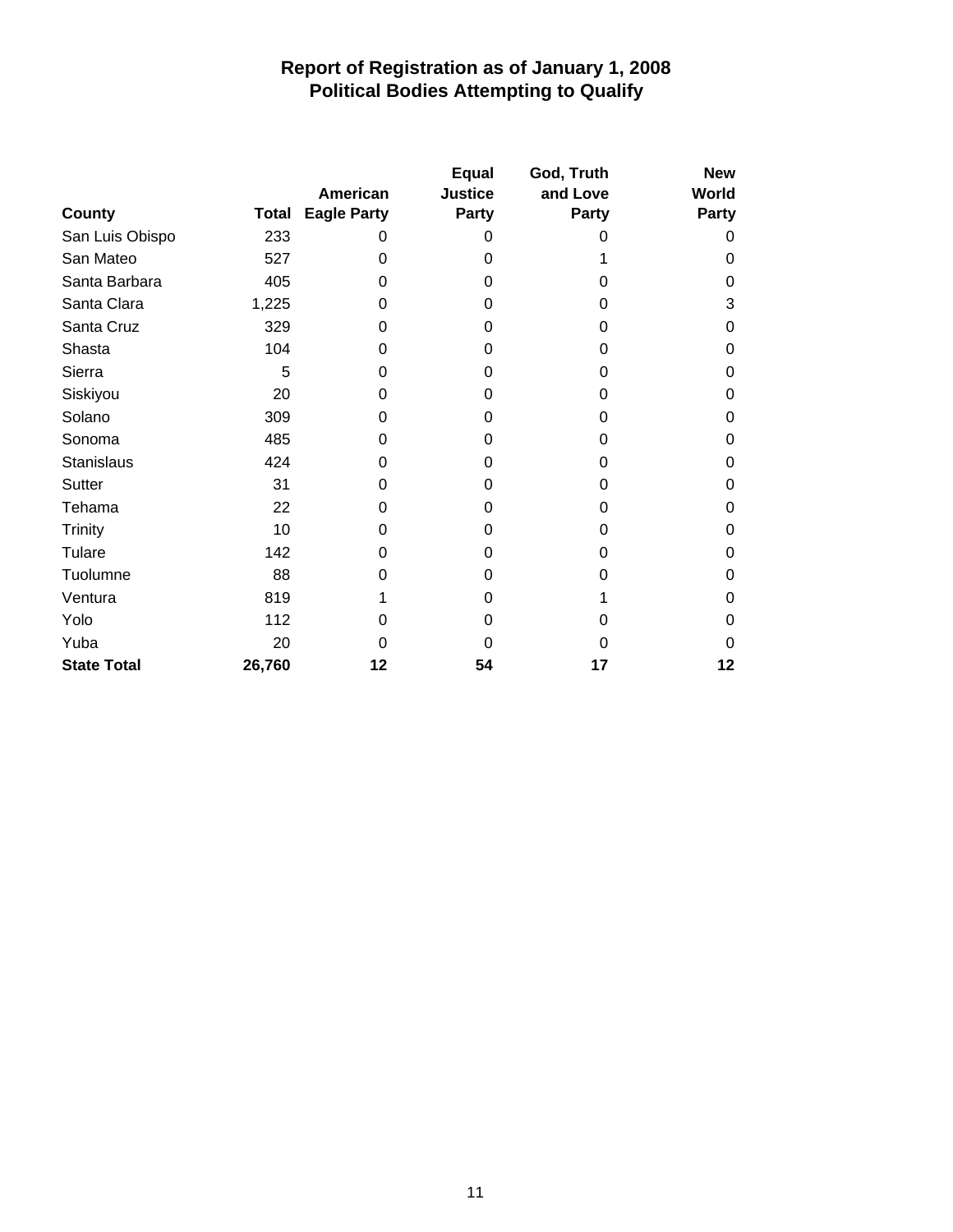|                    |        |                                | <b>Equal</b>            | God, Truth        | <b>New</b>            |
|--------------------|--------|--------------------------------|-------------------------|-------------------|-----------------------|
| County             | Total  | American<br><b>Eagle Party</b> | <b>Justice</b><br>Party | and Love<br>Party | World<br><b>Party</b> |
| San Luis Obispo    | 233    | 0                              | 0                       | 0                 | 0                     |
| San Mateo          | 527    | 0                              | 0                       |                   | $\Omega$              |
| Santa Barbara      | 405    | 0                              | $\Omega$                | 0                 | 0                     |
| Santa Clara        | 1,225  | 0                              | 0                       | 0                 | 3                     |
| Santa Cruz         | 329    | 0                              | $\Omega$                | 0                 | 0                     |
| Shasta             | 104    | 0                              | 0                       | 0                 | 0                     |
| Sierra             | 5      | 0                              | 0                       | 0                 | 0                     |
| Siskiyou           | 20     | 0                              | 0                       | 0                 | 0                     |
| Solano             | 309    | 0                              | 0                       | 0                 | 0                     |
| Sonoma             | 485    | 0                              | 0                       | 0                 | 0                     |
| Stanislaus         | 424    | 0                              | 0                       | 0                 | 0                     |
| Sutter             | 31     | 0                              | 0                       | 0                 | 0                     |
| Tehama             | 22     | 0                              | $\Omega$                | 0                 | 0                     |
| <b>Trinity</b>     | 10     | 0                              | 0                       | 0                 | 0                     |
| Tulare             | 142    | 0                              | 0                       | 0                 | 0                     |
| Tuolumne           | 88     | 0                              | 0                       | 0                 | 0                     |
| Ventura            | 819    |                                | 0                       |                   | 0                     |
| Yolo               | 112    | 0                              | 0                       | 0                 | 0                     |
| Yuba               | 20     | 0                              | O                       | O                 | 0                     |
| <b>State Total</b> | 26,760 | 12                             | 54                      | 17                | 12                    |